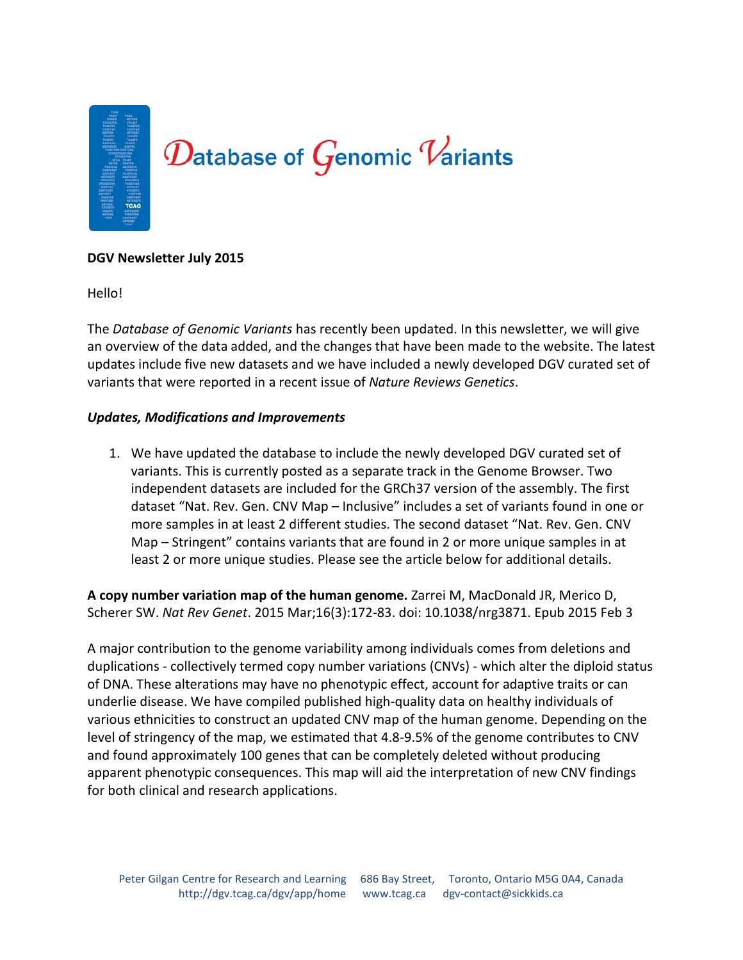

### **DGV Newsletter July 2015**

Hello!

The *Database of Genomic Variants* has recently been updated. In this newsletter, we will give an overview of the data added, and the changes that have been made to the website. The latest updates include five new datasets and we have included a newly developed DGV curated set of variants that were reported in a recent issue of *Nature Reviews Genetics*.

### *Updates, Modifications and Improvements*

1. We have updated the database to include the newly developed DGV curated set of variants. This is currently posted as a separate track in the Genome Browser. Two independent datasets are included for the GRCh37 version of the assembly. The first dataset "Nat. Rev. Gen. CNV Map – Inclusive" includes a set of variants found in one or more samples in at least 2 different studies. The second dataset "Nat. Rev. Gen. CNV Map – Stringent" contains variants that are found in 2 or more unique samples in at least 2 or more unique studies. Please see the article below for additional details.

**A copy number variation map of the human genome.** Zarrei M, MacDonald JR, Merico D, Scherer SW. *Nat Rev Genet*. 2015 Mar;16(3):172-83. doi: 10.1038/nrg3871. Epub 2015 Feb 3

A major contribution to the genome variability among individuals comes from deletions and duplications - collectively termed copy number variations (CNVs) - which alter the diploid status of DNA. These alterations may have no phenotypic effect, account for adaptive traits or can underlie disease. We have compiled published high-quality data on healthy individuals of various ethnicities to construct an updated CNV map of the human genome. Depending on the level of stringency of the map, we estimated that 4.8-9.5% of the genome contributes to CNV and found approximately 100 genes that can be completely deleted without producing apparent phenotypic consequences. This map will aid the interpretation of new CNV findings for both clinical and research applications.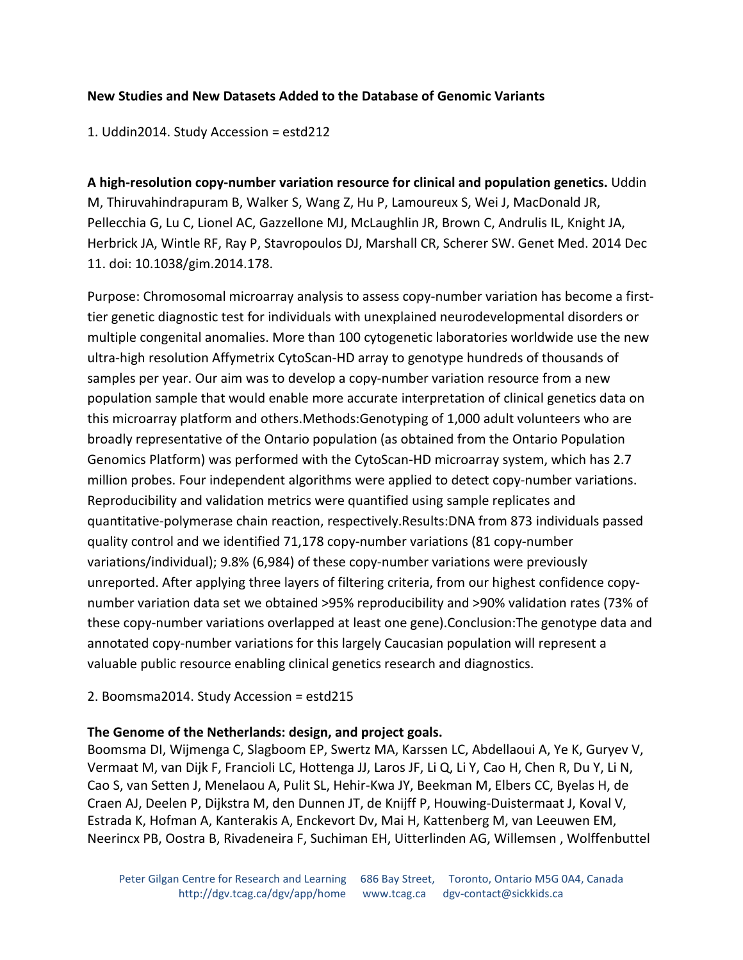# **New Studies and New Datasets Added to the Database of Genomic Variants**

1. Uddin2014. Study Accession = estd212

**A high-resolution copy-number variation resource for clinical and population genetics.** Uddin M, Thiruvahindrapuram B, Walker S, Wang Z, Hu P, Lamoureux S, Wei J, MacDonald JR, Pellecchia G, Lu C, Lionel AC, Gazzellone MJ, McLaughlin JR, Brown C, Andrulis IL, Knight JA, Herbrick JA, Wintle RF, Ray P, Stavropoulos DJ, Marshall CR, Scherer SW. Genet Med. 2014 Dec 11. doi: 10.1038/gim.2014.178.

Purpose: Chromosomal microarray analysis to assess copy-number variation has become a firsttier genetic diagnostic test for individuals with unexplained neurodevelopmental disorders or multiple congenital anomalies. More than 100 cytogenetic laboratories worldwide use the new ultra-high resolution Affymetrix CytoScan-HD array to genotype hundreds of thousands of samples per year. Our aim was to develop a copy-number variation resource from a new population sample that would enable more accurate interpretation of clinical genetics data on this microarray platform and others.Methods:Genotyping of 1,000 adult volunteers who are broadly representative of the Ontario population (as obtained from the Ontario Population Genomics Platform) was performed with the CytoScan-HD microarray system, which has 2.7 million probes. Four independent algorithms were applied to detect copy-number variations. Reproducibility and validation metrics were quantified using sample replicates and quantitative-polymerase chain reaction, respectively.Results:DNA from 873 individuals passed quality control and we identified 71,178 copy-number variations (81 copy-number variations/individual); 9.8% (6,984) of these copy-number variations were previously unreported. After applying three layers of filtering criteria, from our highest confidence copynumber variation data set we obtained >95% reproducibility and >90% validation rates (73% of these copy-number variations overlapped at least one gene).Conclusion:The genotype data and annotated copy-number variations for this largely Caucasian population will represent a valuable public resource enabling clinical genetics research and diagnostics.

# 2. Boomsma2014. Study Accession = estd215

# **The Genome of the Netherlands: design, and project goals.**

Boomsma DI, Wijmenga C, Slagboom EP, Swertz MA, Karssen LC, Abdellaoui A, Ye K, Guryev V, Vermaat M, van Dijk F, Francioli LC, Hottenga JJ, Laros JF, Li Q, Li Y, Cao H, Chen R, Du Y, Li N, Cao S, van Setten J, Menelaou A, Pulit SL, Hehir-Kwa JY, Beekman M, Elbers CC, Byelas H, de Craen AJ, Deelen P, Dijkstra M, den Dunnen JT, de Knijff P, Houwing-Duistermaat J, Koval V, Estrada K, Hofman A, Kanterakis A, Enckevort Dv, Mai H, Kattenberg M, van Leeuwen EM, Neerincx PB, Oostra B, Rivadeneira F, Suchiman EH, Uitterlinden AG, Willemsen , Wolffenbuttel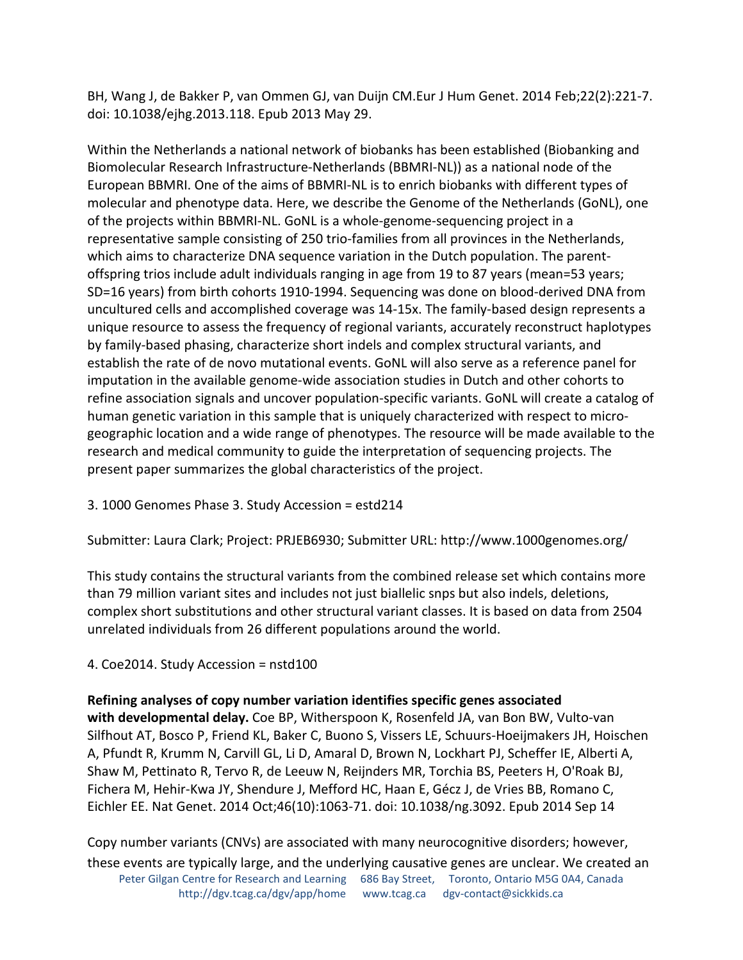BH, Wang J, de Bakker P, van Ommen GJ, van Duijn CM.Eur J Hum Genet. 2014 Feb;22(2):221-7. doi: 10.1038/ejhg.2013.118. Epub 2013 May 29.

Within the Netherlands a national network of biobanks has been established (Biobanking and Biomolecular Research Infrastructure-Netherlands (BBMRI-NL)) as a national node of the European BBMRI. One of the aims of BBMRI-NL is to enrich biobanks with different types of molecular and phenotype data. Here, we describe the Genome of the Netherlands (GoNL), one of the projects within BBMRI-NL. GoNL is a whole-genome-sequencing project in a representative sample consisting of 250 trio-families from all provinces in the Netherlands, which aims to characterize DNA sequence variation in the Dutch population. The parentoffspring trios include adult individuals ranging in age from 19 to 87 years (mean=53 years; SD=16 years) from birth cohorts 1910-1994. Sequencing was done on blood-derived DNA from uncultured cells and accomplished coverage was 14-15x. The family-based design represents a unique resource to assess the frequency of regional variants, accurately reconstruct haplotypes by family-based phasing, characterize short indels and complex structural variants, and establish the rate of de novo mutational events. GoNL will also serve as a reference panel for imputation in the available genome-wide association studies in Dutch and other cohorts to refine association signals and uncover population-specific variants. GoNL will create a catalog of human genetic variation in this sample that is uniquely characterized with respect to microgeographic location and a wide range of phenotypes. The resource will be made available to the research and medical community to guide the interpretation of sequencing projects. The present paper summarizes the global characteristics of the project.

3. 1000 Genomes Phase 3. Study Accession = estd214

Submitter: Laura Clark; Project: PRJEB6930; Submitter URL: http://www.1000genomes.org/

This study contains the structural variants from the combined release set which contains more than 79 million variant sites and includes not just biallelic snps but also indels, deletions, complex short substitutions and other structural variant classes. It is based on data from 2504 unrelated individuals from 26 different populations around the world.

# 4. Coe2014. Study Accession = nstd100

# **Refining analyses of copy number variation identifies specific genes associated**

**with developmental delay.** Coe BP, Witherspoon K, Rosenfeld JA, van Bon BW, Vulto-van Silfhout AT, Bosco P, Friend KL, Baker C, Buono S, Vissers LE, Schuurs-Hoeijmakers JH, Hoischen A, Pfundt R, Krumm N, Carvill GL, Li D, Amaral D, Brown N, Lockhart PJ, Scheffer IE, Alberti A, Shaw M, Pettinato R, Tervo R, de Leeuw N, Reijnders MR, Torchia BS, Peeters H, O'Roak BJ, Fichera M, Hehir-Kwa JY, Shendure J, Mefford HC, Haan E, Gécz J, de Vries BB, Romano C, Eichler EE. Nat Genet. 2014 Oct;46(10):1063-71. doi: 10.1038/ng.3092. Epub 2014 Sep 14

Peter Gilgan Centre for Research and Learning 686 Bay Street, Toronto, Ontario M5G 0A4, Canada http://dgv.tcag.ca/dgv/app/home www.tcag.ca dgv-contact@sickkids.ca Copy number variants (CNVs) are associated with many neurocognitive disorders; however, these events are typically large, and the underlying causative genes are unclear. We created an